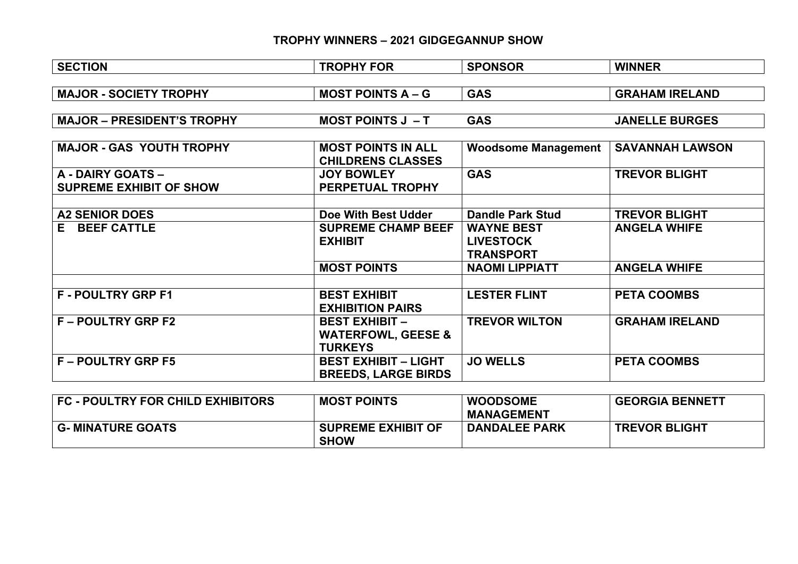## **TROPHY WINNERS – 2021 GIDGEGANNUP SHOW**

| <b>SECTION</b>                    | <b>TROPHY FOR</b>             | <b>SPONSOR</b>             | <b>WINNER</b>          |
|-----------------------------------|-------------------------------|----------------------------|------------------------|
|                                   |                               |                            |                        |
| <b>MAJOR - SOCIETY TROPHY</b>     | <b>MOST POINTS A – G</b>      | <b>GAS</b>                 | <b>GRAHAM IRELAND</b>  |
|                                   |                               |                            |                        |
| <b>MAJOR - PRESIDENT'S TROPHY</b> | <b>MOST POINTS J - T</b>      | <b>GAS</b>                 | <b>JANELLE BURGES</b>  |
|                                   |                               |                            |                        |
| <b>MAJOR - GAS YOUTH TROPHY</b>   | <b>MOST POINTS IN ALL</b>     | <b>Woodsome Management</b> | <b>SAVANNAH LAWSON</b> |
|                                   | <b>CHILDRENS CLASSES</b>      |                            |                        |
| A - DAIRY GOATS -                 | <b>JOY BOWLEY</b>             | <b>GAS</b>                 | <b>TREVOR BLIGHT</b>   |
| <b>SUPREME EXHIBIT OF SHOW</b>    | PERPETUAL TROPHY              |                            |                        |
|                                   |                               |                            |                        |
| <b>A2 SENIOR DOES</b>             | Doe With Best Udder           | <b>Dandle Park Stud</b>    | <b>TREVOR BLIGHT</b>   |
| <b>BEEF CATTLE</b><br>E.          | <b>SUPREME CHAMP BEEF</b>     | <b>WAYNE BEST</b>          | <b>ANGELA WHIFE</b>    |
|                                   | <b>EXHIBIT</b>                | <b>LIVESTOCK</b>           |                        |
|                                   |                               | <b>TRANSPORT</b>           |                        |
|                                   | <b>MOST POINTS</b>            | <b>NAOMI LIPPIATT</b>      | <b>ANGELA WHIFE</b>    |
|                                   |                               |                            |                        |
| <b>F-POULTRY GRP F1</b>           | <b>BEST EXHIBIT</b>           | <b>LESTER FLINT</b>        | <b>PETA COOMBS</b>     |
|                                   | <b>EXHIBITION PAIRS</b>       |                            |                        |
| <b>F-POULTRY GRP F2</b>           | <b>BEST EXHIBIT -</b>         | <b>TREVOR WILTON</b>       | <b>GRAHAM IRELAND</b>  |
|                                   | <b>WATERFOWL, GEESE &amp;</b> |                            |                        |
|                                   | <b>TURKEYS</b>                |                            |                        |
| <b>F-POULTRY GRP F5</b>           | <b>BEST EXHIBIT - LIGHT</b>   | <b>JO WELLS</b>            | <b>PETA COOMBS</b>     |
|                                   | <b>BREEDS, LARGE BIRDS</b>    |                            |                        |
|                                   |                               |                            |                        |

| FC - POULTRY FOR CHILD EXHIBITORS | <b>MOST POINTS</b>                       | <b>WOODSOME</b><br><b>MANAGEMENT</b> | <b>GEORGIA BENNETT</b> |
|-----------------------------------|------------------------------------------|--------------------------------------|------------------------|
| <b>G- MINATURE GOATS</b>          | <b>SUPREME EXHIBIT OF</b><br><b>SHOW</b> | <b>DANDALEE PARK</b>                 | <b>TREVOR BLIGHT</b>   |